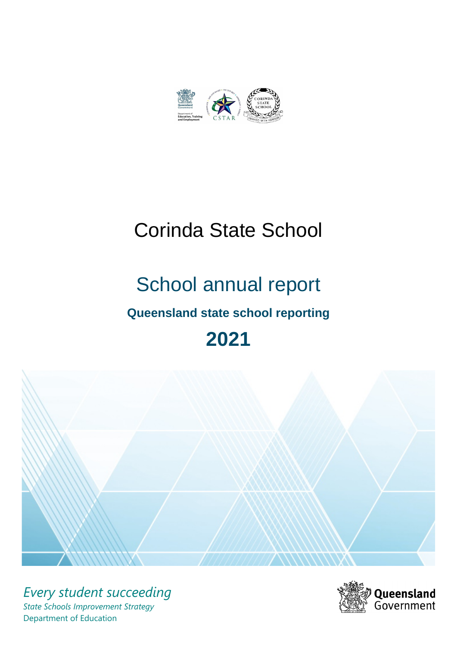

# Corinda State School

# School annual report **Queensland state school reporting**





*Every student succeeding State Schools Improvement Strategy* Department of Education

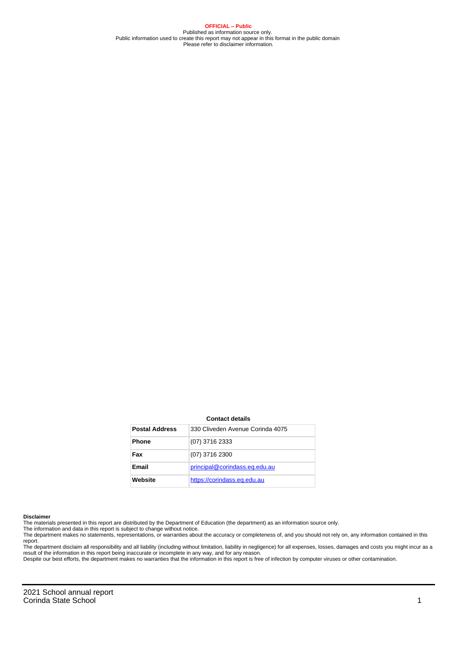**OFFICIAL – Public** Published as information source only. Public information used to create this report may not appear in this format in the public domain Please refer to disclaimer information.

#### **Contact details**

| <b>Postal Address</b> | 330 Cliveden Avenue Corinda 4075 |
|-----------------------|----------------------------------|
| <b>Phone</b>          | (07) 3716 2333                   |
| Fax                   | (07) 3716 2300                   |
| Email                 | principal@corindass.eq.edu.au    |
| Website               | https://corindass.eq.edu.au      |

#### **Disclaimer**

The materials presented in this report are distributed by the Department of Education (the department) as an information source only.

The information and data in this report is subject to change without notice.<br>The department makes no statements, representations, or warranties about the accuracy or completeness of, and you should not rely on, any informa report.

The department disclaim all responsibility and all liability (including without limitation, liability in negligence) for all expenses, losses, damages and costs you might incur as a result of the information in this report being inaccurate or incomplete in any way, and for any reason. Despite our best efforts, the department makes no warranties that the information in this report is free of infection by computer viruses or other contamination.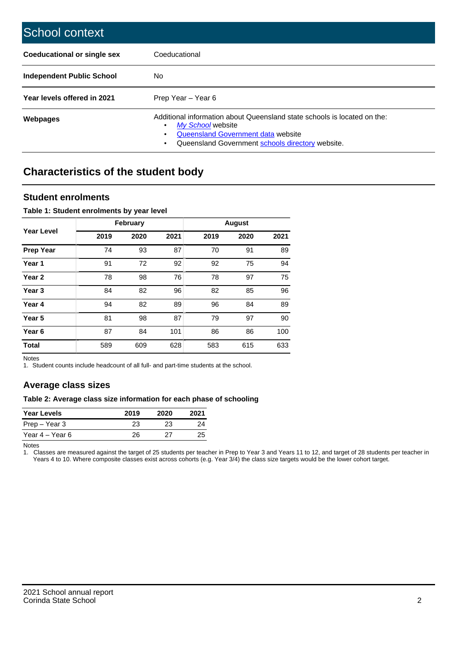| School context                   |                                                                                                                                                                                              |
|----------------------------------|----------------------------------------------------------------------------------------------------------------------------------------------------------------------------------------------|
| Coeducational or single sex      | Coeducational                                                                                                                                                                                |
| <b>Independent Public School</b> | No.                                                                                                                                                                                          |
| Year levels offered in 2021      | Prep Year - Year 6                                                                                                                                                                           |
| Webpages                         | Additional information about Queensland state schools is located on the:<br>My School website<br>Queensland Government data website<br>Queensland Government schools directory website.<br>٠ |

# **Characteristics of the student body**

## **Student enrolments**

## **Table 1: Student enrolments by year level**

|                   |      | <b>February</b> |      |      | <b>August</b> |      |
|-------------------|------|-----------------|------|------|---------------|------|
| <b>Year Level</b> | 2019 | 2020            | 2021 | 2019 | 2020          | 2021 |
| <b>Prep Year</b>  | 74   | 93              | 87   | 70   | 91            | 89   |
| Year 1            | 91   | 72              | 92   | 92   | 75            | 94   |
| Year <sub>2</sub> | 78   | 98              | 76   | 78   | 97            | 75   |
| Year <sub>3</sub> | 84   | 82              | 96   | 82   | 85            | 96   |
| Year 4            | 94   | 82              | 89   | 96   | 84            | 89   |
| Year 5            | 81   | 98              | 87   | 79   | 97            | 90   |
| Year <sub>6</sub> | 87   | 84              | 101  | 86   | 86            | 100  |
| <b>Total</b>      | 589  | 609             | 628  | 583  | 615           | 633  |

Notes

1. Student counts include headcount of all full- and part-time students at the school.

## **Average class sizes**

## **Table 2: Average class size information for each phase of schooling**

| <b>Year Levels</b> | 2019 | 2020 | 2021 |
|--------------------|------|------|------|
| Prep – Year 3      | 23   | 23   | 24   |
| Year 4 – Year 6    | 26   | 27   | 25   |

Notes

1. Classes are measured against the target of 25 students per teacher in Prep to Year 3 and Years 11 to 12, and target of 28 students per teacher in Years 4 to 10. Where composite classes exist across cohorts (e.g. Year 3/4) the class size targets would be the lower cohort target.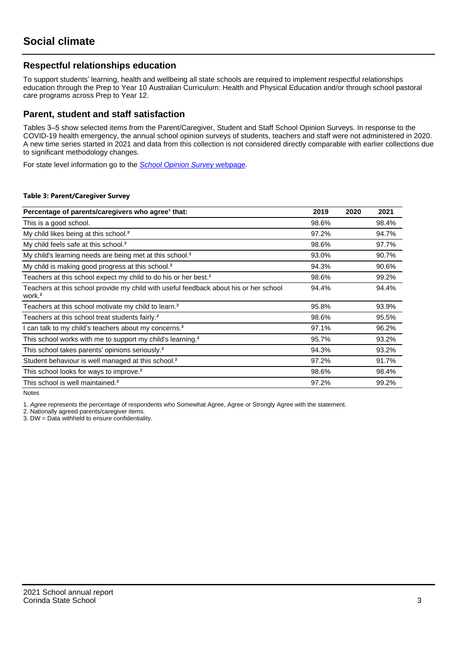## **Respectful relationships education**

To support students' learning, health and wellbeing all state schools are required to implement respectful relationships education through the Prep to Year 10 Australian Curriculum: Health and Physical Education and/or through school pastoral care programs across Prep to Year 12.

## **Parent, student and staff satisfaction**

Tables 3–5 show selected items from the Parent/Caregiver, Student and Staff School Opinion Surveys. In response to the COVID-19 health emergency, the annual school opinion surveys of students, teachers and staff were not administered in 2020. A new time series started in 2021 and data from this collection is not considered directly comparable with earlier collections due to significant methodology changes.

For state level information go to the **[School Opinion Survey](https://qed.qld.gov.au/publications/reports/statistics/schooling/schools/schoolopinionsurvey) webpage**.

### **Table 3: Parent/Caregiver Survey**

| Percentage of parents/caregivers who agree <sup>1</sup> that:                                               | 2019  | 2020 | 2021  |
|-------------------------------------------------------------------------------------------------------------|-------|------|-------|
| This is a good school.                                                                                      | 98.6% |      | 98.4% |
| My child likes being at this school. <sup>2</sup>                                                           | 97.2% |      | 94.7% |
| My child feels safe at this school. <sup>2</sup>                                                            | 98.6% |      | 97.7% |
| My child's learning needs are being met at this school. <sup>2</sup>                                        | 93.0% |      | 90.7% |
| My child is making good progress at this school. <sup>2</sup>                                               | 94.3% |      | 90.6% |
| Teachers at this school expect my child to do his or her best. <sup>2</sup>                                 | 98.6% |      | 99.2% |
| Teachers at this school provide my child with useful feedback about his or her school<br>work. <sup>2</sup> | 94.4% |      | 94.4% |
| Teachers at this school motivate my child to learn. <sup>2</sup>                                            | 95.8% |      | 93.9% |
| Teachers at this school treat students fairly. <sup>2</sup>                                                 | 98.6% |      | 95.5% |
| I can talk to my child's teachers about my concerns. <sup>2</sup>                                           | 97.1% |      | 96.2% |
| This school works with me to support my child's learning. <sup>2</sup>                                      | 95.7% |      | 93.2% |
| This school takes parents' opinions seriously. <sup>2</sup>                                                 | 94.3% |      | 93.2% |
| Student behaviour is well managed at this school. <sup>2</sup>                                              | 97.2% |      | 91.7% |
| This school looks for ways to improve. <sup>2</sup>                                                         | 98.6% |      | 98.4% |
| This school is well maintained. <sup>2</sup>                                                                | 97.2% |      | 99.2% |

Notes

1. Agree represents the percentage of respondents who Somewhat Agree, Agree or Strongly Agree with the statement.

2. Nationally agreed parents/caregiver items.

3. DW = Data withheld to ensure confidentiality.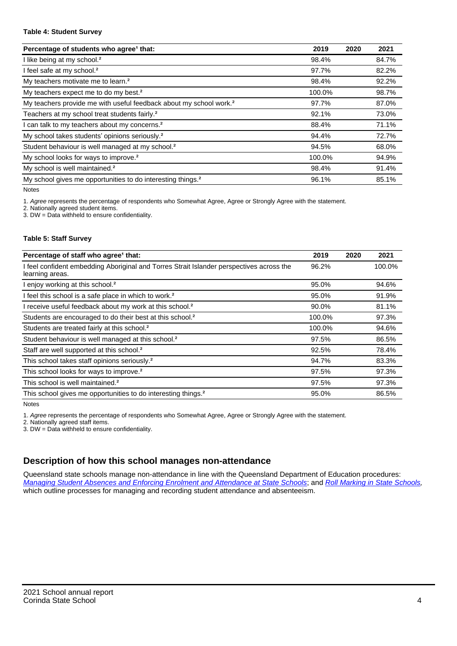### **Table 4: Student Survey**

| Percentage of students who agree <sup>1</sup> that:                            | 2019   | 2020 | 2021  |
|--------------------------------------------------------------------------------|--------|------|-------|
| I like being at my school. <sup>2</sup>                                        | 98.4%  |      | 84.7% |
| I feel safe at my school. <sup>2</sup>                                         | 97.7%  |      | 82.2% |
| My teachers motivate me to learn. <sup>2</sup>                                 | 98.4%  |      | 92.2% |
| My teachers expect me to do my best. <sup>2</sup>                              | 100.0% |      | 98.7% |
| My teachers provide me with useful feedback about my school work. <sup>2</sup> | 97.7%  |      | 87.0% |
| Teachers at my school treat students fairly. <sup>2</sup>                      | 92.1%  |      | 73.0% |
| I can talk to my teachers about my concerns. <sup>2</sup>                      | 88.4%  |      | 71.1% |
| My school takes students' opinions seriously. <sup>2</sup>                     | 94.4%  |      | 72.7% |
| Student behaviour is well managed at my school. <sup>2</sup>                   | 94.5%  |      | 68.0% |
| My school looks for ways to improve. <sup>2</sup>                              | 100.0% |      | 94.9% |
| My school is well maintained. <sup>2</sup>                                     | 98.4%  |      | 91.4% |
| My school gives me opportunities to do interesting things. <sup>2</sup>        | 96.1%  |      | 85.1% |

Notes

1. Agree represents the percentage of respondents who Somewhat Agree, Agree or Strongly Agree with the statement.

2. Nationally agreed student items.

3. DW = Data withheld to ensure confidentiality.

## **Table 5: Staff Survey**

| Percentage of staff who agree <sup>1</sup> that:                                                            | 2019   | 2020 | 2021   |
|-------------------------------------------------------------------------------------------------------------|--------|------|--------|
| I feel confident embedding Aboriginal and Torres Strait Islander perspectives across the<br>learning areas. | 96.2%  |      | 100.0% |
| I enjoy working at this school. <sup>2</sup>                                                                | 95.0%  |      | 94.6%  |
| I feel this school is a safe place in which to work. <sup>2</sup>                                           | 95.0%  |      | 91.9%  |
| I receive useful feedback about my work at this school. <sup>2</sup>                                        | 90.0%  |      | 81.1%  |
| Students are encouraged to do their best at this school. <sup>2</sup>                                       | 100.0% |      | 97.3%  |
| Students are treated fairly at this school. <sup>2</sup>                                                    | 100.0% |      | 94.6%  |
| Student behaviour is well managed at this school. <sup>2</sup>                                              | 97.5%  |      | 86.5%  |
| Staff are well supported at this school. <sup>2</sup>                                                       | 92.5%  |      | 78.4%  |
| This school takes staff opinions seriously. <sup>2</sup>                                                    | 94.7%  |      | 83.3%  |
| This school looks for ways to improve. <sup>2</sup>                                                         | 97.5%  |      | 97.3%  |
| This school is well maintained. <sup>2</sup>                                                                | 97.5%  |      | 97.3%  |
| This school gives me opportunities to do interesting things. <sup>2</sup>                                   | 95.0%  |      | 86.5%  |

Notes

1. Agree represents the percentage of respondents who Somewhat Agree, Agree or Strongly Agree with the statement.

2. Nationally agreed staff items.

3. DW = Data withheld to ensure confidentiality.

# **Description of how this school manages non-attendance**

Queensland state schools manage non-attendance in line with the Queensland Department of Education procedures: [Managing Student Absences and Enforcing Enrolment and Attendance at State Schools](https://ppr.qed.qld.gov.au/pp/managing-student-absences-and-enforcing-enrolment-and-attendance-at-state-schools-procedure); and [Roll Marking in State Schools,](https://ppr.qed.qld.gov.au/pp/roll-marking-in-state-schools-procedure) which outline processes for managing and recording student attendance and absenteeism.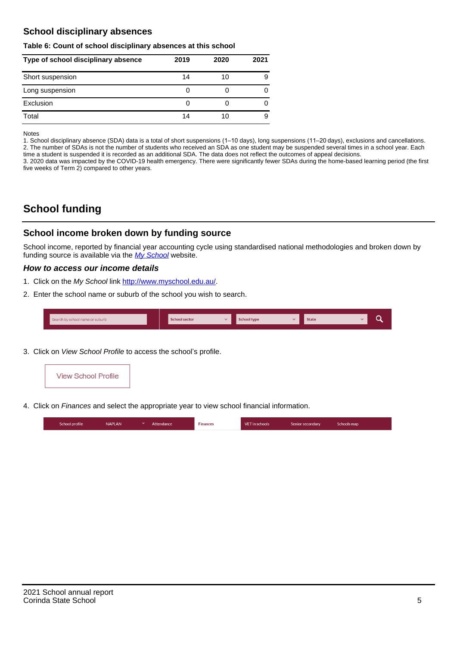## **School disciplinary absences**

### **Table 6: Count of school disciplinary absences at this school**

| Type of school disciplinary absence | 2019 | 2020 | 2021 |
|-------------------------------------|------|------|------|
| Short suspension                    | 14   | 10   | 9    |
| Long suspension                     | U    |      |      |
| Exclusion                           | 0    |      | O    |
| Total                               | 14   | 10   | 9    |

Notes

1. School disciplinary absence (SDA) data is a total of short suspensions (1–10 days), long suspensions (11–20 days), exclusions and cancellations. 2. The number of SDAs is not the number of students who received an SDA as one student may be suspended several times in a school year. Each time a student is suspended it is recorded as an additional SDA. The data does not reflect the outcomes of appeal decisions.

3. 2020 data was impacted by the COVID-19 health emergency. There were significantly fewer SDAs during the home-based learning period (the first five weeks of Term 2) compared to other years.

# **School funding**

## **School income broken down by funding source**

School income, reported by financial year accounting cycle using standardised national methodologies and broken down by funding source is available via the  $My$  School website.

## **How to access our income details**

- 1. Click on the My School link <http://www.myschool.edu.au/>.
- 2. Enter the school name or suburb of the school you wish to search.

|  | Search by school name or suburb |  | <b>School sector</b> |  | $\sim$ and $\sim$ represents the set of $\sim$ | <b>State</b> |  |  |  |
|--|---------------------------------|--|----------------------|--|------------------------------------------------|--------------|--|--|--|
|--|---------------------------------|--|----------------------|--|------------------------------------------------|--------------|--|--|--|

3. Click on View School Profile to access the school's profile.



4. Click on Finances and select the appropriate year to view school financial information.

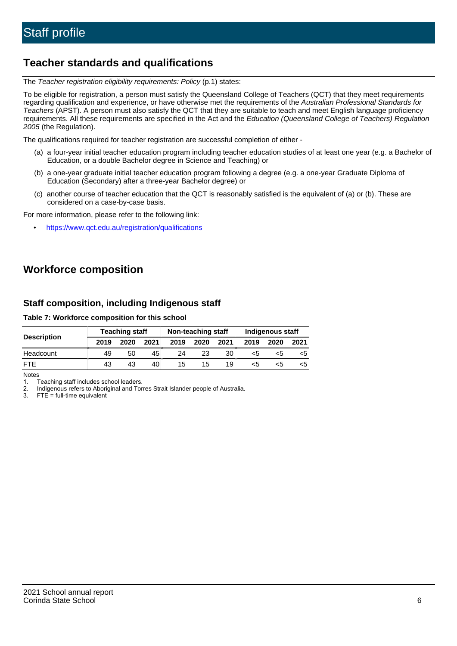# **Teacher standards and qualifications**

The Teacher registration eligibility requirements: Policy (p.1) states:

To be eligible for registration, a person must satisfy the Queensland College of Teachers (QCT) that they meet requirements regarding qualification and experience, or have otherwise met the requirements of the Australian Professional Standards for Teachers (APST). A person must also satisfy the QCT that they are suitable to teach and meet English language proficiency requirements. All these requirements are specified in the Act and the Education (Queensland College of Teachers) Regulation 2005 (the Regulation).

The qualifications required for teacher registration are successful completion of either -

- (a) a four-year initial teacher education program including teacher education studies of at least one year (e.g. a Bachelor of Education, or a double Bachelor degree in Science and Teaching) or
- (b) a one-year graduate initial teacher education program following a degree (e.g. a one-year Graduate Diploma of Education (Secondary) after a three-year Bachelor degree) or
- (c) another course of teacher education that the QCT is reasonably satisfied is the equivalent of (a) or (b). These are considered on a case-by-case basis.

For more information, please refer to the following link:

• <https://www.qct.edu.au/registration/qualifications>

# **Workforce composition**

## **Staff composition, including Indigenous staff**

## **Table 7: Workforce composition for this school**

|                    | <b>Teaching staff</b> |      |      | Non-teaching staff |      |      | Indigenous staff |      |      |
|--------------------|-----------------------|------|------|--------------------|------|------|------------------|------|------|
| <b>Description</b> | 2019                  | 2020 | 2021 | 2019               | 2020 | 2021 | 2019             | 2020 | 2021 |
| Headcount          | 49                    | 50   | 45   | 24                 | 23   | 30   | <5               | <5   |      |
| <b>FTF</b>         | 43                    | 43   | 40   | 15                 | 15   | 19   | <5               | ה>   |      |

Notes

1. Teaching staff includes school leaders.

2. Indigenous refers to Aboriginal and Torres Strait Islander people of Australia.

3. FTE = full-time equivalent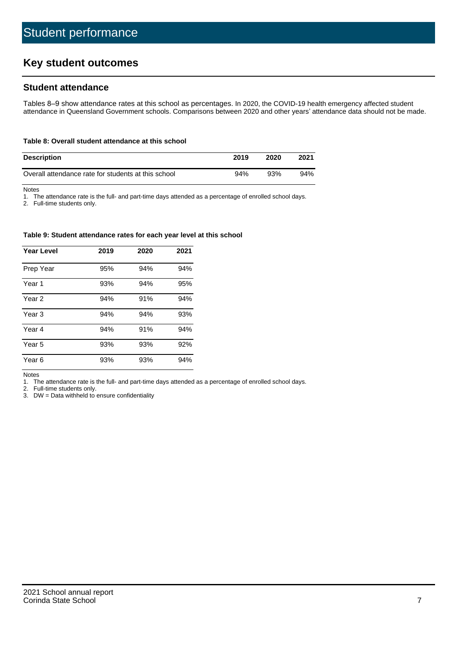# **Key student outcomes**

## **Student attendance**

Tables 8–9 show attendance rates at this school as percentages. In 2020, the COVID-19 health emergency affected student attendance in Queensland Government schools. Comparisons between 2020 and other years' attendance data should not be made.

## **Table 8: Overall student attendance at this school**

| <b>Description</b>                                  | 2019 | 2020 | 2021 |
|-----------------------------------------------------|------|------|------|
| Overall attendance rate for students at this school | 94%  | 93%  | 94%  |

Notes

1. The attendance rate is the full- and part-time days attended as a percentage of enrolled school days.

2. Full-time students only.

### **Table 9: Student attendance rates for each year level at this school**

| <b>Year Level</b> | 2019 | 2020 | 2021 |
|-------------------|------|------|------|
| Prep Year         | 95%  | 94%  | 94%  |
| Year <sub>1</sub> | 93%  | 94%  | 95%  |
| Year 2            | 94%  | 91%  | 94%  |
| Year 3            | 94%  | 94%  | 93%  |
| Year 4            | 94%  | 91%  | 94%  |
| Year 5            | 93%  | 93%  | 92%  |
| Year <sub>6</sub> | 93%  | 93%  | 94%  |

Notes

1. The attendance rate is the full- and part-time days attended as a percentage of enrolled school days.

2. Full-time students only.

3. DW = Data withheld to ensure confidentiality